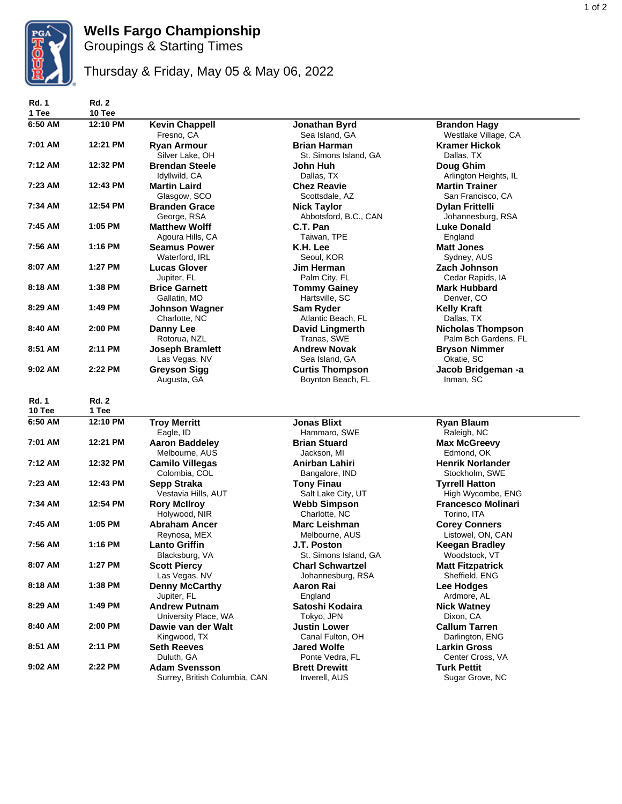

## **Wells Fargo Championship**

Groupings & Starting Times

## Thursday & Friday, May 05 & May 06, 2022

| <b>Rd. 1</b><br>1 Tee | <b>Rd. 2</b><br>10 Tee |                                                  |                                                            |                                                               |
|-----------------------|------------------------|--------------------------------------------------|------------------------------------------------------------|---------------------------------------------------------------|
| 6:50 AM               | 12:10 PM               | <b>Kevin Chappell</b><br>Fresno, CA              | Jonathan Byrd<br>Sea Island, GA                            | <b>Brandon Hagy</b><br>Westlake Village, CA                   |
| 7:01 AM               | 12:21 PM               | <b>Ryan Armour</b><br>Silver Lake, OH            | <b>Brian Harman</b><br>St. Simons Island, GA               | <b>Kramer Hickok</b><br>Dallas, TX                            |
| 7:12 AM               | 12:32 PM               | <b>Brendan Steele</b><br>Idyllwild, CA           | John Huh<br>Dallas, TX                                     | Doug Ghim<br>Arlington Heights, IL                            |
| 7:23 AM               | 12:43 PM               | <b>Martin Laird</b><br>Glasgow, SCO              | <b>Chez Reavie</b><br>Scottsdale, AZ                       | <b>Martin Trainer</b><br>San Francisco, CA                    |
| 7:34 AM               | 12:54 PM               | <b>Branden Grace</b><br>George, RSA              | <b>Nick Taylor</b><br>Abbotsford, B.C., CAN                | <b>Dylan Frittelli</b><br>Johannesburg, RSA                   |
| 7:45 AM               | 1:05 PM                | <b>Matthew Wolff</b><br>Agoura Hills, CA         | C.T. Pan<br>Taiwan, TPE                                    | Luke Donald<br>England                                        |
| 7:56 AM               | 1:16 PM                | <b>Seamus Power</b><br>Waterford, IRL            | K.H. Lee<br>Seoul, KOR                                     | <b>Matt Jones</b><br>Sydney, AUS                              |
| 8:07 AM               | 1:27 PM                | <b>Lucas Glover</b><br>Jupiter, FL               | Jim Herman<br>Palm City, FL                                | Zach Johnson<br>Cedar Rapids, IA                              |
| 8:18 AM               | 1:38 PM                | <b>Brice Garnett</b><br>Gallatin, MO             | <b>Tommy Gainey</b><br>Hartsville, SC                      | <b>Mark Hubbard</b><br>Denver, CO                             |
| 8:29 AM               | 1:49 PM                | <b>Johnson Wagner</b><br>Charlotte, NC           | Sam Ryder<br>Atlantic Beach, FL                            | <b>Kelly Kraft</b><br>Dallas, TX                              |
| 8:40 AM               | 2:00 PM                | Danny Lee<br>Rotorua, NZL                        | <b>David Lingmerth</b><br>Tranas, SWE                      | <b>Nicholas Thompson</b><br>Palm Bch Gardens, FL              |
| 8:51 AM               | 2:11 PM                | <b>Joseph Bramlett</b><br>Las Vegas, NV          | <b>Andrew Novak</b><br>Sea Island, GA                      | <b>Bryson Nimmer</b><br>Okatie, SC                            |
| 9:02 AM               | 2:22 PM                | <b>Greyson Sigg</b><br>Augusta, GA               | <b>Curtis Thompson</b><br>Boynton Beach, FL                | Jacob Bridgeman -a<br>Inman, SC                               |
|                       |                        |                                                  |                                                            |                                                               |
| <b>Rd. 1</b>          | <b>Rd. 2</b>           |                                                  |                                                            |                                                               |
| 10 Tee                | 1 Tee                  |                                                  |                                                            |                                                               |
| 6:50 AM               | 12:10 PM               | <b>Troy Merritt</b><br>Eagle, ID                 | <b>Jonas Blixt</b><br>Hammaro, SWE                         | <b>Ryan Blaum</b><br>Raleigh, NC                              |
| 7:01 AM               | 12:21 PM               | <b>Aaron Baddeley</b><br>Melbourne, AUS          | <b>Brian Stuard</b><br>Jackson, MI                         | <b>Max McGreevy</b><br>Edmond, OK                             |
| 7:12 AM               | 12:32 PM               | <b>Camilo Villegas</b><br>Colombia, COL          | Anirban Lahiri                                             | <b>Henrik Norlander</b><br>Stockholm, SWE                     |
| 7:23 AM               | 12:43 PM               | Sepp Straka<br>Vestavia Hills, AUT               | Bangalore, IND<br><b>Tony Finau</b>                        | <b>Tyrrell Hatton</b>                                         |
| 7:34 AM               | 12:54 PM               | <b>Rory McIlroy</b><br>Holywood, NIR             | Salt Lake City, UT<br><b>Webb Simpson</b><br>Charlotte, NC | High Wycombe, ENG<br><b>Francesco Molinari</b><br>Torino, ITA |
| 7:45 AM               | 1:05 PM                | <b>Abraham Ancer</b><br>Reynosa, MEX             | <b>Marc Leishman</b><br>Melbourne, AUS                     | <b>Corey Conners</b><br>Listowel, ON, CAN                     |
| 7:56 AM               | 1:16 PM                | <b>Lanto Griffin</b>                             | J.T. Poston<br>St. Simons Island, GA                       | <b>Keegan Bradley</b>                                         |
| 8:07 AM               | 1:27 PM                | Blacksburg, VA<br><b>Scott Piercy</b>            | <b>Charl Schwartzel</b>                                    | Woodstock, VT<br><b>Matt Fitzpatrick</b>                      |
| 8:18 AM               | 1:38 PM                | Las Vegas, NV<br><b>Denny McCarthy</b>           | Johannesburg, RSA<br>Aaron Rai                             | Sheffield, ENG<br>Lee Hodges                                  |
| 8:29 AM               | 1:49 PM                | Jupiter, FL<br><b>Andrew Putnam</b>              | England<br>Satoshi Kodaira                                 | Ardmore, AL<br><b>Nick Watney</b>                             |
| 8:40 AM               | 2:00 PM                | University Place, WA<br>Dawie van der Walt       | Tokyo, JPN<br><b>Justin Lower</b>                          | Dixon, CA<br><b>Callum Tarren</b>                             |
| 8:51 AM               | 2:11 PM                | Kingwood, TX<br><b>Seth Reeves</b><br>Duluth, GA | Canal Fulton, OH<br><b>Jared Wolfe</b><br>Ponte Vedra, FL  | Darlington, ENG<br><b>Larkin Gross</b><br>Center Cross, VA    |